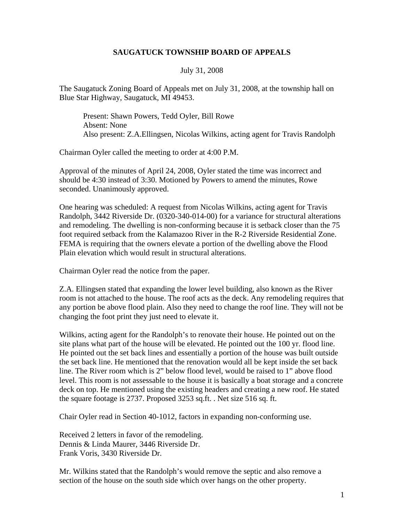## **SAUGATUCK TOWNSHIP BOARD OF APPEALS**

## July 31, 2008

The Saugatuck Zoning Board of Appeals met on July 31, 2008, at the township hall on Blue Star Highway, Saugatuck, MI 49453.

Present: Shawn Powers, Tedd Oyler, Bill Rowe Absent: None Also present: Z.A.Ellingsen, Nicolas Wilkins, acting agent for Travis Randolph

Chairman Oyler called the meeting to order at 4:00 P.M.

Approval of the minutes of April 24, 2008, Oyler stated the time was incorrect and should be 4:30 instead of 3:30. Motioned by Powers to amend the minutes, Rowe seconded. Unanimously approved.

One hearing was scheduled: A request from Nicolas Wilkins, acting agent for Travis Randolph, 3442 Riverside Dr. (0320-340-014-00) for a variance for structural alterations and remodeling. The dwelling is non-conforming because it is setback closer than the 75 foot required setback from the Kalamazoo River in the R-2 Riverside Residential Zone. FEMA is requiring that the owners elevate a portion of the dwelling above the Flood Plain elevation which would result in structural alterations.

Chairman Oyler read the notice from the paper.

Z.A. Ellingsen stated that expanding the lower level building, also known as the River room is not attached to the house. The roof acts as the deck. Any remodeling requires that any portion be above flood plain. Also they need to change the roof line. They will not be changing the foot print they just need to elevate it.

Wilkins, acting agent for the Randolph's to renovate their house. He pointed out on the site plans what part of the house will be elevated. He pointed out the 100 yr. flood line. He pointed out the set back lines and essentially a portion of the house was built outside the set back line. He mentioned that the renovation would all be kept inside the set back line. The River room which is 2" below flood level, would be raised to 1" above flood level. This room is not assessable to the house it is basically a boat storage and a concrete deck on top. He mentioned using the existing headers and creating a new roof. He stated the square footage is 2737. Proposed 3253 sq.ft. . Net size 516 sq. ft.

Chair Oyler read in Section 40-1012, factors in expanding non-conforming use.

Received 2 letters in favor of the remodeling. Dennis & Linda Maurer, 3446 Riverside Dr. Frank Voris, 3430 Riverside Dr.

Mr. Wilkins stated that the Randolph's would remove the septic and also remove a section of the house on the south side which over hangs on the other property.